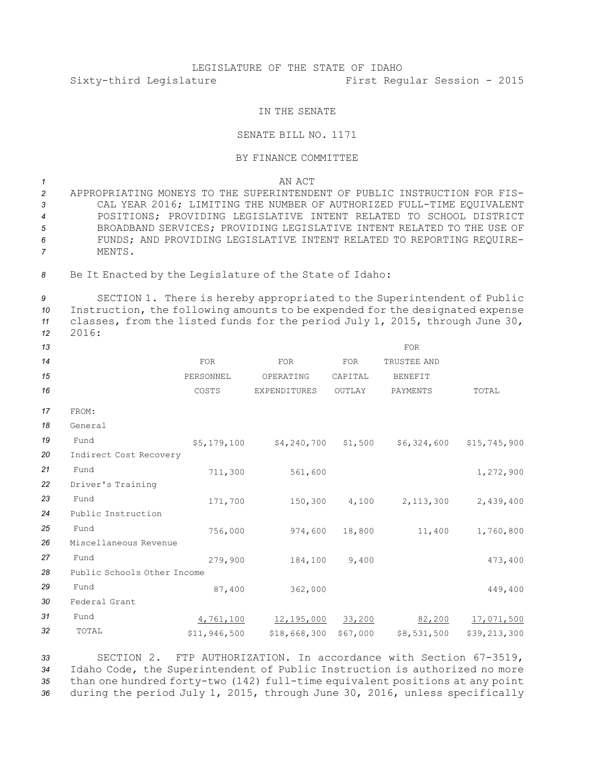## LEGISLATURE OF THE STATE OF IDAHO Sixty-third Legislature First Regular Session - 2015

## IN THE SENATE

## SENATE BILL NO. 1171

## BY FINANCE COMMITTEE

*1* AN ACT

 APPROPRIATING MONEYS TO THE SUPERINTENDENT OF PUBLIC INSTRUCTION FOR FIS- CAL YEAR 2016; LIMITING THE NUMBER OF AUTHORIZED FULL-TIME EQUIVALENT POSITIONS; PROVIDING LEGISLATIVE INTENT RELATED TO SCHOOL DISTRICT BROADBAND SERVICES; PROVIDING LEGISLATIVE INTENT RELATED TO THE USE OF FUNDS; AND PROVIDING LEGISLATIVE INTENT RELATED TO REPORTING REQUIRE-*7* MENTS.

8 Be It Enacted by the Legislature of the State of Idaho:

 SECTION 1. There is hereby appropriated to the Superintendent of Public Instruction, the following amounts to be expended for the designated expense classes, from the listed funds for the period July 1, 2015, through June 30, *12* 2016:

| 13 |                             |              |              |            | FOR            |              |
|----|-----------------------------|--------------|--------------|------------|----------------|--------------|
| 14 |                             | <b>FOR</b>   | FOR          | <b>FOR</b> | TRUSTEE AND    |              |
| 15 |                             | PERSONNEL    | OPERATING    | CAPITAL    | <b>BENEFIT</b> |              |
| 16 |                             | COSTS        | EXPENDITURES | OUTLAY     | PAYMENTS       | TOTAL        |
| 17 | FROM:                       |              |              |            |                |              |
| 18 | General                     |              |              |            |                |              |
| 19 | Fund                        | \$5,179,100  | \$4,240,700  | \$1,500    | \$6,324,600    | \$15,745,900 |
| 20 | Indirect Cost Recovery      |              |              |            |                |              |
| 21 | Fund                        | 711,300      | 561,600      |            |                | 1,272,900    |
| 22 | Driver's Training           |              |              |            |                |              |
| 23 | Fund                        | 171,700      | 150,300      | 4,100      | 2,113,300      | 2,439,400    |
| 24 | Public Instruction          |              |              |            |                |              |
| 25 | Fund                        | 756,000      | 974,600      | 18,800     | 11,400         | 1,760,800    |
| 26 | Miscellaneous Revenue       |              |              |            |                |              |
| 27 | Fund                        | 279,900      | 184,100      | 9,400      |                | 473,400      |
| 28 | Public Schools Other Income |              |              |            |                |              |
| 29 | Fund                        | 87,400       | 362,000      |            |                | 449,400      |
| 30 | Federal Grant               |              |              |            |                |              |
| 31 | Fund                        | 4,761,100    | 12,195,000   | 33,200     | 82,200         | 17,071,500   |
| 32 | TOTAL                       | \$11,946,500 | \$18,668,300 | \$67,000   | \$8,531,500    | \$39,213,300 |
|    |                             |              |              |            |                |              |

 SECTION 2. FTP AUTHORIZATION. In accordance with Section 67-3519, Idaho Code, the Superintendent of Public Instruction is authorized no more than one hundred forty-two (142) full-time equivalent positions at any point during the period July 1, 2015, through June 30, 2016, unless specifically